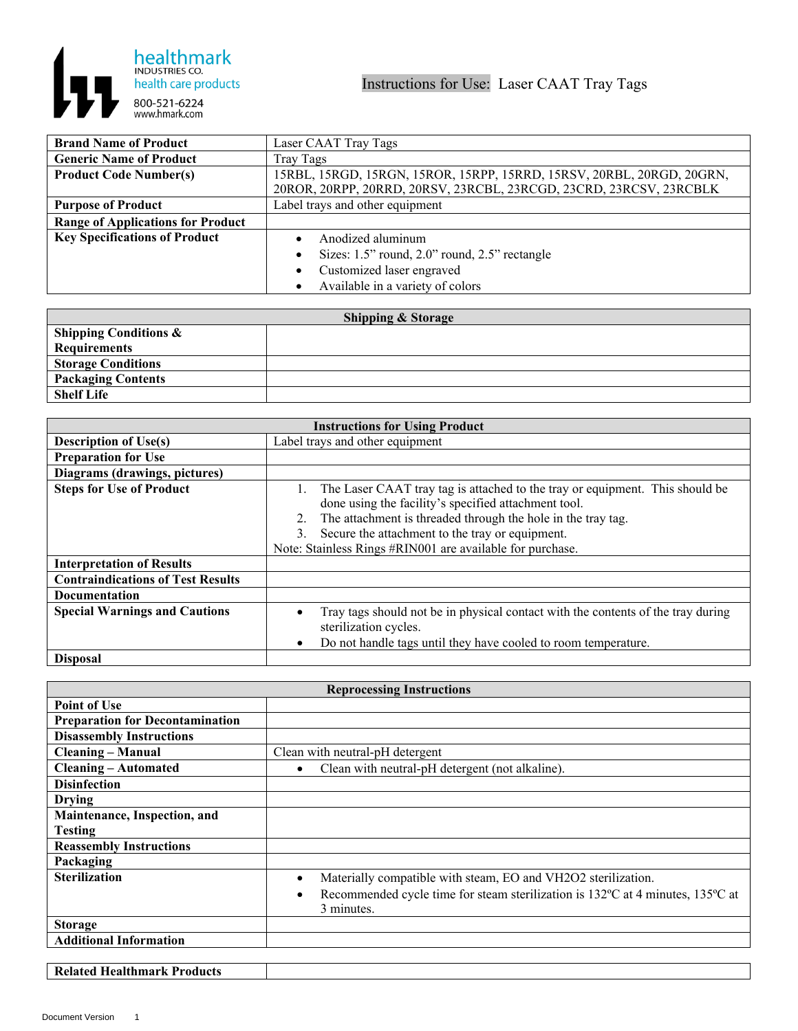

| <b>Brand Name of Product</b>             | Laser CAAT Tray Tags                                                  |
|------------------------------------------|-----------------------------------------------------------------------|
| <b>Generic Name of Product</b>           | Tray Tags                                                             |
| <b>Product Code Number(s)</b>            | 15RBL, 15RGD, 15RGN, 15ROR, 15RPP, 15RRD, 15RSV, 20RBL, 20RGD, 20GRN, |
|                                          | 20ROR, 20RPP, 20RRD, 20RSV, 23RCBL, 23RCGD, 23CRD, 23RCSV, 23RCBLK    |
| <b>Purpose of Product</b>                | Label trays and other equipment                                       |
| <b>Range of Applications for Product</b> |                                                                       |
| <b>Key Specifications of Product</b>     | Anodized aluminum                                                     |
|                                          | Sizes: 1.5" round, 2.0" round, 2.5" rectangle<br>$\bullet$            |
|                                          | Customized laser engraved<br>٠                                        |
|                                          | Available in a variety of colors                                      |

| <b>Shipping &amp; Storage</b>    |  |  |
|----------------------------------|--|--|
| <b>Shipping Conditions &amp;</b> |  |  |
| <b>Requirements</b>              |  |  |
| <b>Storage Conditions</b>        |  |  |
| <b>Packaging Contents</b>        |  |  |
| <b>Shelf Life</b>                |  |  |

| <b>Instructions for Using Product</b>    |                                                                                                                                                                                                                                                                                                                                  |
|------------------------------------------|----------------------------------------------------------------------------------------------------------------------------------------------------------------------------------------------------------------------------------------------------------------------------------------------------------------------------------|
| <b>Description of Use(s)</b>             | Label trays and other equipment                                                                                                                                                                                                                                                                                                  |
| <b>Preparation for Use</b>               |                                                                                                                                                                                                                                                                                                                                  |
| Diagrams (drawings, pictures)            |                                                                                                                                                                                                                                                                                                                                  |
| <b>Steps for Use of Product</b>          | The Laser CAAT tray tag is attached to the tray or equipment. This should be<br>done using the facility's specified attachment tool.<br>The attachment is threaded through the hole in the tray tag.<br>2.<br>Secure the attachment to the tray or equipment.<br>3.<br>Note: Stainless Rings #RIN001 are available for purchase. |
| <b>Interpretation of Results</b>         |                                                                                                                                                                                                                                                                                                                                  |
| <b>Contraindications of Test Results</b> |                                                                                                                                                                                                                                                                                                                                  |
| Documentation                            |                                                                                                                                                                                                                                                                                                                                  |
| <b>Special Warnings and Cautions</b>     | Tray tags should not be in physical contact with the contents of the tray during<br>sterilization cycles.<br>Do not handle tags until they have cooled to room temperature.                                                                                                                                                      |
| <b>Disposal</b>                          |                                                                                                                                                                                                                                                                                                                                  |

| <b>Reprocessing Instructions</b>       |                                                                                             |  |
|----------------------------------------|---------------------------------------------------------------------------------------------|--|
| <b>Point of Use</b>                    |                                                                                             |  |
| <b>Preparation for Decontamination</b> |                                                                                             |  |
| <b>Disassembly Instructions</b>        |                                                                                             |  |
| <b>Cleaning – Manual</b>               | Clean with neutral-pH detergent                                                             |  |
| <b>Cleaning – Automated</b>            | Clean with neutral-pH detergent (not alkaline).<br>$\bullet$                                |  |
| <b>Disinfection</b>                    |                                                                                             |  |
| <b>Drying</b>                          |                                                                                             |  |
| Maintenance, Inspection, and           |                                                                                             |  |
| <b>Testing</b>                         |                                                                                             |  |
| <b>Reassembly Instructions</b>         |                                                                                             |  |
| Packaging                              |                                                                                             |  |
| <b>Sterilization</b>                   | Materially compatible with steam, EO and VH2O2 sterilization.<br>$\bullet$                  |  |
|                                        | Recommended cycle time for steam sterilization is 132°C at 4 minutes, 135°C at<br>$\bullet$ |  |
|                                        | 3 minutes.                                                                                  |  |
| <b>Storage</b>                         |                                                                                             |  |
| <b>Additional Information</b>          |                                                                                             |  |

**Related Healthmark Products**